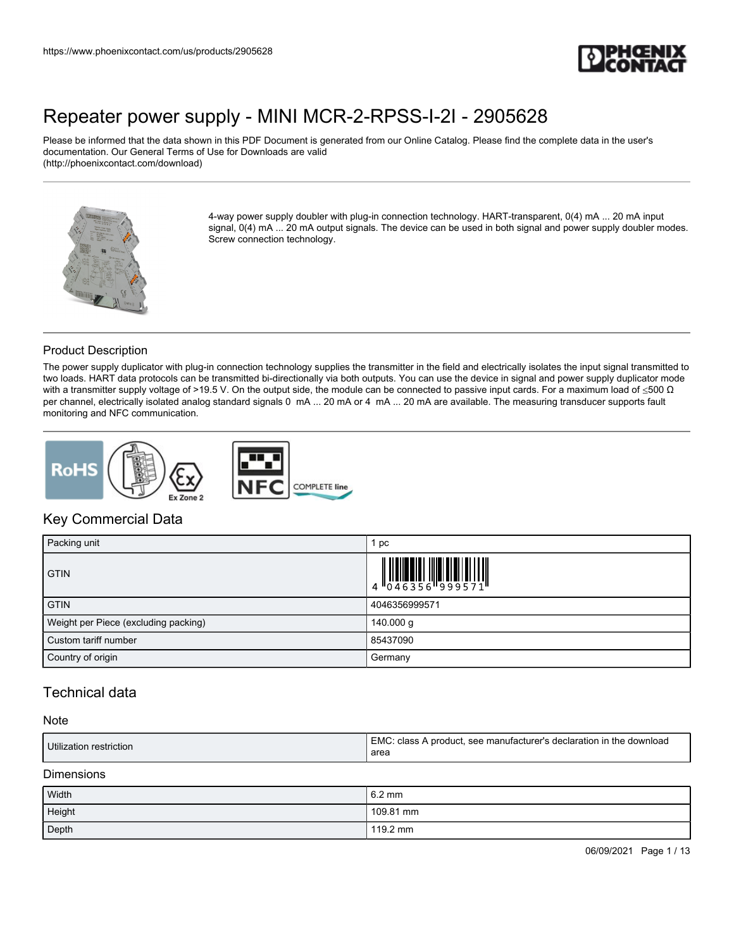

Please be informed that the data shown in this PDF Document is generated from our Online Catalog. Please find the complete data in the user's documentation. Our General Terms of Use for Downloads are valid (http://phoenixcontact.com/download)



4-way power supply doubler with plug-in connection technology. HART-transparent, 0(4) mA ... 20 mA input signal,  $0(4)$  mA ... 20 mA output signals. The device can be used in both signal and power supply doubler modes. Screw connection technology.

### Product Description

The power supply duplicator with plug-in connection technology supplies the transmitter in the field and electrically isolates the input signal transmitted to two loads. HART data protocols can be transmitted bi-directionally via both outputs. You can use the device in signal and power supply duplicator mode with a transmitter supply voltage of >19.5 V. On the output side, the module can be connected to passive input cards. For a maximum load of  $\leq$ 500  $\Omega$ per channel, electrically isolated analog standard signals 0 mA ... 20 mA or 4 mA ... 20 mA are available. The measuring transducer supports fault monitoring and NFC communication.



## Key Commercial Data

| Packing unit                         | рc            |
|--------------------------------------|---------------|
| <b>GTIN</b>                          |               |
| <b>GTIN</b>                          | 4046356999571 |
| Weight per Piece (excluding packing) | 140.000 g     |
| Custom tariff number                 | 85437090      |
| Country of origin                    | Germany       |

## Technical data

#### Note

| Utilization restriction | [EMC: class A product, see manufacturer's declaration in the download<br>area |
|-------------------------|-------------------------------------------------------------------------------|
|                         |                                                                               |

#### Dimensions

| Width  | $6.2 \text{ mm}$   |
|--------|--------------------|
| Height | 109.81 mm          |
| Depth  | $119.2 \text{ mm}$ |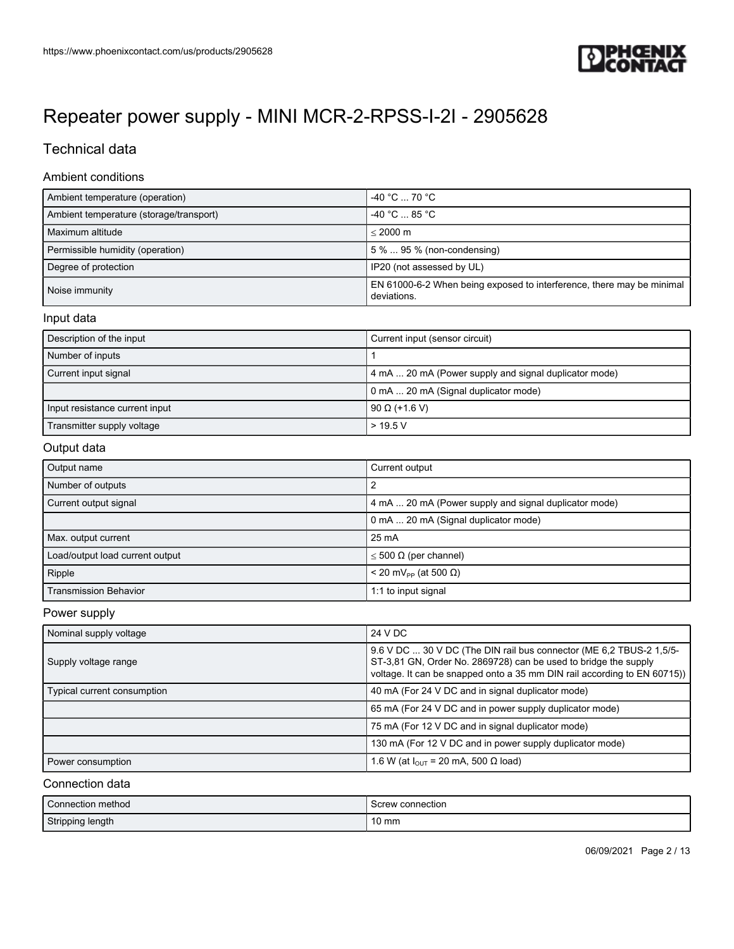

# Technical data

#### Ambient conditions

| Ambient temperature (operation)         | $-40 °C  70 °C$                                                                      |
|-----------------------------------------|--------------------------------------------------------------------------------------|
| Ambient temperature (storage/transport) | $-40 °C  85 °C$                                                                      |
| Maximum altitude                        | $< 2000 \text{ m}$                                                                   |
| Permissible humidity (operation)        | 5 %  95 % (non-condensing)                                                           |
| Degree of protection                    | IP20 (not assessed by UL)                                                            |
| Noise immunity                          | EN 61000-6-2 When being exposed to interference, there may be minimal<br>deviations. |

#### Input data

| Description of the input       | Current input (sensor circuit)                        |
|--------------------------------|-------------------------------------------------------|
| Number of inputs               |                                                       |
| Current input signal           | 4 mA  20 mA (Power supply and signal duplicator mode) |
|                                | 0 mA  20 mA (Signal duplicator mode)                  |
| Input resistance current input | $90 \Omega (+1.6 V)$                                  |
| Transmitter supply voltage     | > 19.5 V                                              |

#### Output data

| Output name                     | Current output                                        |
|---------------------------------|-------------------------------------------------------|
| Number of outputs               | 2                                                     |
| Current output signal           | 4 mA  20 mA (Power supply and signal duplicator mode) |
|                                 | 0 mA  20 mA (Signal duplicator mode)                  |
| Max. output current             | $25 \text{ mA}$                                       |
| Load/output load current output | $\leq$ 500 $\Omega$ (per channel)                     |
| Ripple                          | $<$ 20 mV <sub>pp</sub> (at 500 $\Omega$ )            |
| <b>Transmission Behavior</b>    | 1:1 to input signal                                   |

### Power supply

| Nominal supply voltage      | 24 V DC                                                                                                                                                                                                           |
|-----------------------------|-------------------------------------------------------------------------------------------------------------------------------------------------------------------------------------------------------------------|
| Supply voltage range        | 9.6 V DC  30 V DC (The DIN rail bus connector (ME 6.2 TBUS-2 1,5/5-<br>ST-3,81 GN, Order No. 2869728) can be used to bridge the supply<br>voltage. It can be snapped onto a 35 mm DIN rail according to EN 60715) |
| Typical current consumption | 40 mA (For 24 V DC and in signal duplicator mode)                                                                                                                                                                 |
|                             | 65 mA (For 24 V DC and in power supply duplicator mode)                                                                                                                                                           |
|                             | 75 mA (For 12 V DC and in signal duplicator mode)                                                                                                                                                                 |
|                             | 130 mA (For 12 V DC and in power supply duplicator mode)                                                                                                                                                          |
| Power consumption           | 1.6 W (at $I_{OUT}$ = 20 mA, 500 $\Omega$ load)                                                                                                                                                                   |

### Connection data

| Connection method | Screw connection |
|-------------------|------------------|
| Stripping length  | 10 mm            |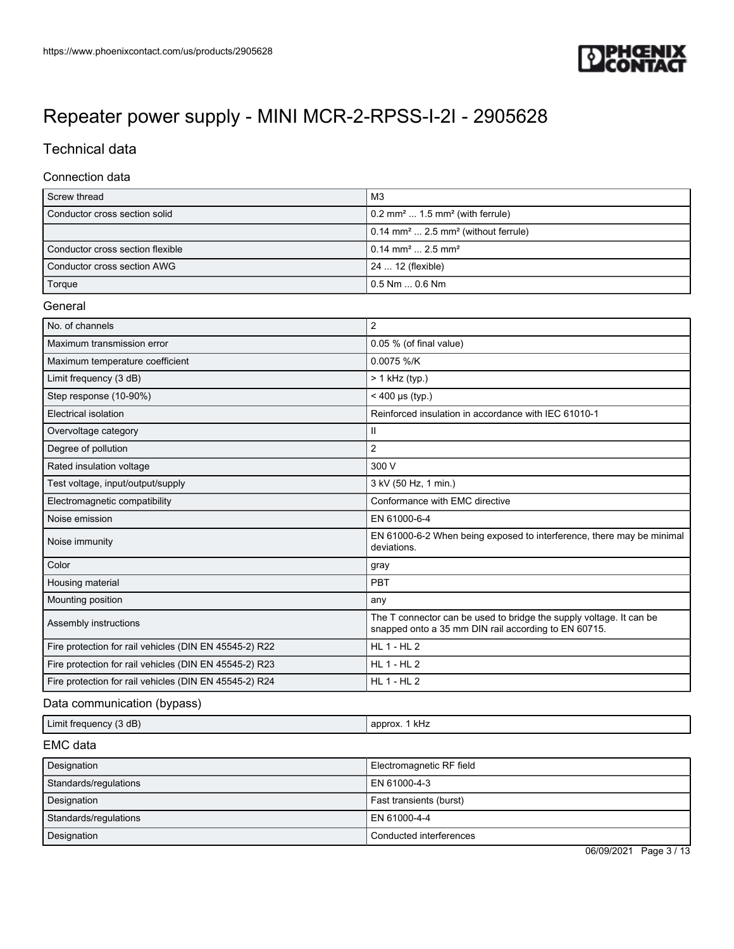

# Technical data

#### Connection data

| Screw thread                     | M3                                                                 |
|----------------------------------|--------------------------------------------------------------------|
| Conductor cross section solid    | $\vert$ 0.2 mm <sup>2</sup> 1.5 mm <sup>2</sup> (with ferrule)     |
|                                  | $\vert$ 0.14 mm <sup>2</sup> 2.5 mm <sup>2</sup> (without ferrule) |
| Conductor cross section flexible | $10.14 \text{ mm}^2 \dots 2.5 \text{ mm}^2$                        |
| Conductor cross section AWG      | 24  12 (flexible)                                                  |
| Torque                           | l 0.5 Nm  0.6 Nm .                                                 |

#### **General**

| No. of channels                                        | $\overline{2}$                                                                                                              |
|--------------------------------------------------------|-----------------------------------------------------------------------------------------------------------------------------|
| Maximum transmission error                             | 0.05 % (of final value)                                                                                                     |
| Maximum temperature coefficient                        | 0.0075 %/K                                                                                                                  |
| Limit frequency (3 dB)                                 | $> 1$ kHz (typ.)                                                                                                            |
| Step response (10-90%)                                 | $< 400 \,\mu s$ (typ.)                                                                                                      |
| Electrical isolation                                   | Reinforced insulation in accordance with IEC 61010-1                                                                        |
| Overvoltage category                                   | Ш                                                                                                                           |
| Degree of pollution                                    | $\overline{2}$                                                                                                              |
| Rated insulation voltage                               | 300 V                                                                                                                       |
| Test voltage, input/output/supply                      | 3 kV (50 Hz, 1 min.)                                                                                                        |
| Electromagnetic compatibility                          | Conformance with EMC directive                                                                                              |
| Noise emission                                         | EN 61000-6-4                                                                                                                |
| Noise immunity                                         | EN 61000-6-2 When being exposed to interference, there may be minimal<br>deviations.                                        |
| Color                                                  | gray                                                                                                                        |
| Housing material                                       | PBT                                                                                                                         |
| Mounting position                                      | any                                                                                                                         |
| Assembly instructions                                  | The T connector can be used to bridge the supply voltage. It can be<br>snapped onto a 35 mm DIN rail according to EN 60715. |
| Fire protection for rail vehicles (DIN EN 45545-2) R22 | $HL$ 1 - $HL$ 2                                                                                                             |
| Fire protection for rail vehicles (DIN EN 45545-2) R23 | $HL$ 1 - $HL$ 2                                                                                                             |
| Fire protection for rail vehicles (DIN EN 45545-2) R24 | <b>HL 1 - HL 2</b>                                                                                                          |

## Data communication (bypass)

|  | (3 dB)<br>Limit free<br>.1021<br>arean e | kHz<br>apr<br>u^. |
|--|------------------------------------------|-------------------|
|--|------------------------------------------|-------------------|

### EMC data

| Designation           | Electromagnetic RF field |
|-----------------------|--------------------------|
| Standards/regulations | EN 61000-4-3             |
| Designation           | Fast transients (burst)  |
| Standards/regulations | EN 61000-4-4             |
| Designation           | Conducted interferences  |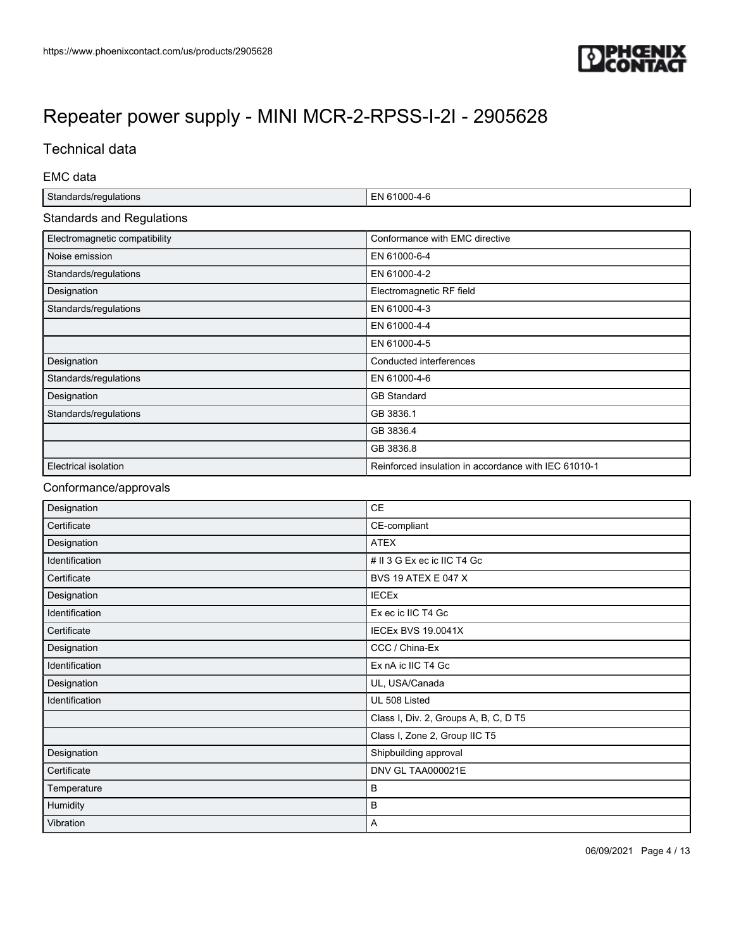

# Technical data

EMC data

| Standards/regulations            | EN 61000-4-6                                         |
|----------------------------------|------------------------------------------------------|
| <b>Standards and Regulations</b> |                                                      |
| Electromagnetic compatibility    | Conformance with EMC directive                       |
| Noise emission                   | EN 61000-6-4                                         |
| Standards/regulations            | EN 61000-4-2                                         |
| Designation                      | Electromagnetic RF field                             |
| Standards/regulations            | EN 61000-4-3                                         |
|                                  | EN 61000-4-4                                         |
|                                  | EN 61000-4-5                                         |
| Designation                      | Conducted interferences                              |
| Standards/regulations            | EN 61000-4-6                                         |
| Designation                      | <b>GB Standard</b>                                   |
| Standards/regulations            | GB 3836.1                                            |
|                                  | GB 3836.4                                            |
|                                  | GB 3836.8                                            |
| Electrical isolation             | Reinforced insulation in accordance with IEC 61010-1 |

### Conformance/approvals

| Designation    | <b>CE</b>                             |
|----------------|---------------------------------------|
| Certificate    | CE-compliant                          |
| Designation    | <b>ATEX</b>                           |
| Identification | # II 3 G Ex ec ic IIC T4 Gc           |
| Certificate    | <b>BVS 19 ATEX E 047 X</b>            |
| Designation    | <b>IECEX</b>                          |
| Identification | Ex ec ic IIC T4 Gc                    |
| Certificate    | <b>IECEx BVS 19.0041X</b>             |
| Designation    | CCC / China-Ex                        |
| Identification | Ex nA ic IIC T4 Gc                    |
| Designation    | UL, USA/Canada                        |
| Identification | UL 508 Listed                         |
|                | Class I, Div. 2, Groups A, B, C, D T5 |
|                | Class I, Zone 2, Group IIC T5         |
| Designation    | Shipbuilding approval                 |
| Certificate    | DNV GL TAA000021E                     |
| Temperature    | B                                     |
| Humidity       | B                                     |
| Vibration      | A                                     |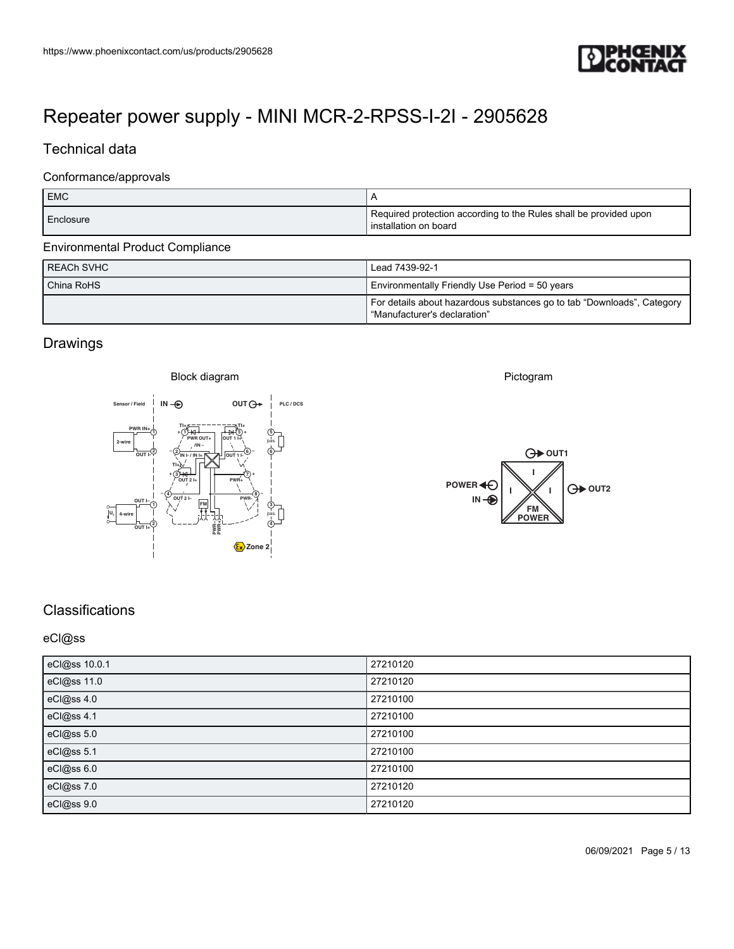

# Technical data

#### Conformance/approvals

| https://www.phoenixcontact.com/us/products/2905628                                                                                                                        | <b>TEPHŒNIX</b><br>LONTACT                                                                                               |
|---------------------------------------------------------------------------------------------------------------------------------------------------------------------------|--------------------------------------------------------------------------------------------------------------------------|
| Repeater power supply - MINI MCR-2-RPSS-I-2I - 2905628                                                                                                                    |                                                                                                                          |
| Technical data                                                                                                                                                            |                                                                                                                          |
| Conformance/approvals                                                                                                                                                     |                                                                                                                          |
| ${\sf EMC}$                                                                                                                                                               | $\mathsf{A}$<br>Required protection according to the Rules shall be provided upon                                        |
| Enclosure                                                                                                                                                                 | installation on board                                                                                                    |
| <b>Environmental Product Compliance</b><br><b>REACH SVHC</b>                                                                                                              | Lead 7439-92-1                                                                                                           |
| China RoHS                                                                                                                                                                | Environmentally Friendly Use Period = 50 years<br>For details about hazardous substances go to tab "Downloads", Category |
|                                                                                                                                                                           | "Manufacturer's declaration"                                                                                             |
| Drawings                                                                                                                                                                  |                                                                                                                          |
| Block diagram<br>$OUT()^*$<br>$IN -②$<br>PLC / DCS<br>Sensor / Field                                                                                                      | Pictogram                                                                                                                |
| <u>- १५</u><br>- अस<br>PWR $IN_{\ell}$                                                                                                                                    |                                                                                                                          |
| $\begin{pmatrix} 6 \\ -1 \\ 0 \end{pmatrix}$<br>PWR OUT+<br>OUT 1 H<br>2-wire<br>$/IN -$<br>$\overline{\text{out}}$<br><b>PINI-/INLES</b><br>OUT 1 I-<br>$T I + \lambda $ |                                                                                                                          |
|                                                                                                                                                                           | $\bigoplus$ out1                                                                                                         |
| இ <del>ழு</del><br>∕ியா்<br>$PWR_{+}$<br>$\sqrt{\frac{4}{\text{out }2}}$<br>PWR-<br>$\overline{\mathbb{C}}$<br>뛦<br>$\begin{bmatrix} 3 \\ \text{pas.} \\ 0 \end{bmatrix}$ | POWER 40<br>O OUT2<br>$IN - $<br>FM <sub>POWER</sub>                                                                     |

| <b>REACH SVHC</b> | Lead 7439-92-1                                                                                           |
|-------------------|----------------------------------------------------------------------------------------------------------|
| China RoHS        | Environmentally Friendly Use Period = 50 years                                                           |
|                   | For details about hazardous substances go to tab "Downloads", Category<br>l "Manufacturer's declaration" |

## **Drawings**





## **Classifications**

#### eCl@ss

| eCl@ss 10.0.1 | 27210120 |
|---------------|----------|
| eCl@ss 11.0   | 27210120 |
| eCl@ss 4.0    | 27210100 |
| eCl@ss 4.1    | 27210100 |
| eCl@ss 5.0    | 27210100 |
| eCl@ss 5.1    | 27210100 |
| eCl@ss 6.0    | 27210100 |
| eCl@ss 7.0    | 27210120 |
| eCl@ss 9.0    | 27210120 |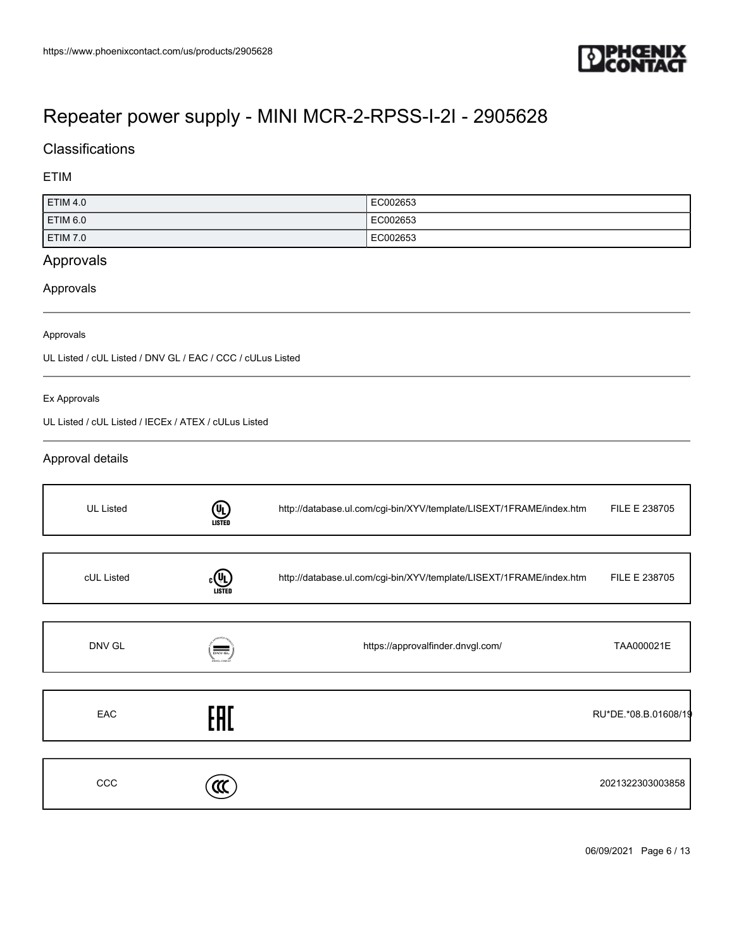

## **Classifications**

#### ETIM

| ETIM 4.0        | EC002653 |
|-----------------|----------|
| <b>ETIM 6.0</b> | EC002653 |
| ETIM 7.0        | EC002653 |

## Approvals

#### Approvals

#### Approvals

UL Listed / cUL Listed / DNV GL / EAC / CCC / cULus Listed

#### Ex Approvals

UL Listed / cUL Listed / IECEx / ATEX / cULus Listed

### Approval details

| <b>UL Listed</b> | <b>(UL)</b><br>LISTED                                     | http://database.ul.com/cgi-bin/XYV/template/LISEXT/1FRAME/index.htm | FILE E 238705        |
|------------------|-----------------------------------------------------------|---------------------------------------------------------------------|----------------------|
|                  |                                                           |                                                                     |                      |
| cUL Listed       | (VL)<br>LISTEI                                            | http://database.ul.com/cgi-bin/XYV/template/LISEXT/1FRAME/index.htm | FILE E 238705        |
|                  |                                                           |                                                                     |                      |
| DNV GL           | $\frac{1}{\text{DNV}\cdot\text{GL}}$<br><b>NVGL COM/A</b> | https://approvalfinder.dnvgl.com/                                   | TAA000021E           |
|                  |                                                           |                                                                     |                      |
| EAC              | FAT                                                       |                                                                     | RU*DE.*08.B.01608/19 |
|                  |                                                           |                                                                     |                      |
| CCC              |                                                           |                                                                     | 2021322303003858     |

06/09/2021 Page 6 / 13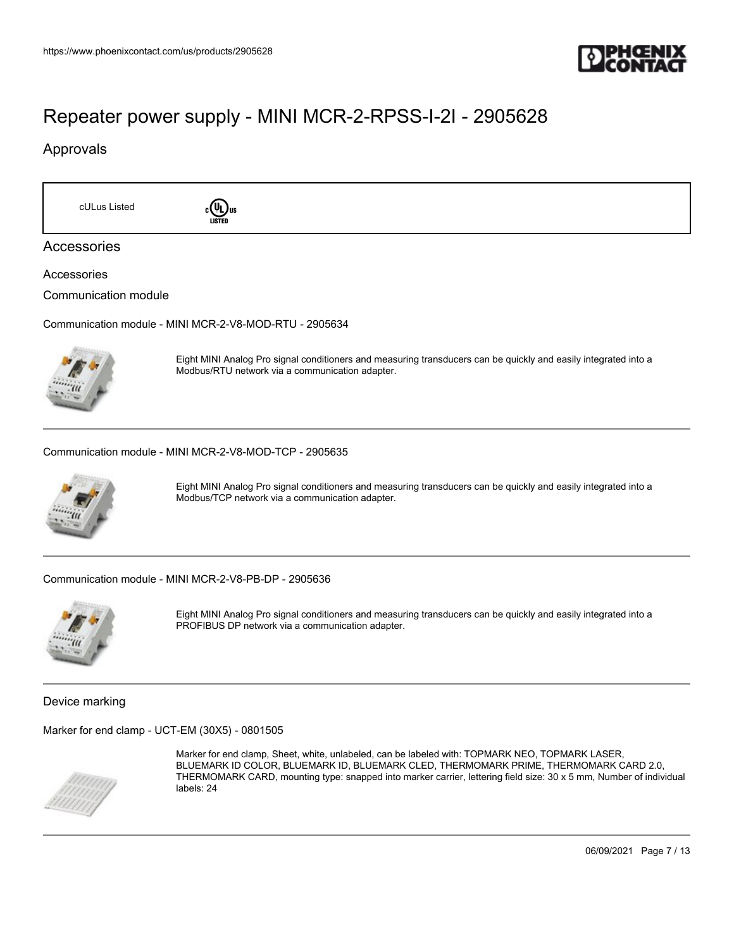

### Approvals

cULus Listed **c**<sup>(U</sup>L) us



### Accessories

Accessories

Communication module

Communication module - MINI MCR-2-V8-MOD-RTU - 2905634



Eight MINI Analog Pro signal conditioners and measuring transducers can be quickly and easily integrated into a Modbus/RTU network via a communication adapter.

Communication module - MINI MCR-2-V8-MOD-TCP - 2905635



Eight MINI Analog Pro signal conditioners and measuring transducers can be quickly and easily integrated into a Modbus/TCP network via a communication adapter.

Communication module - MINI MCR-2-V8-PB-DP - 2905636



Eight MINI Analog Pro signal conditioners and measuring transducers can be quickly and easily integrated into a PROFIBUS DP network via a communication adapter.

Device marking

Marker for end clamp - UCT-EM (30X5) - 0801505



Marker for end clamp, Sheet, white, unlabeled, can be labeled with: TOPMARK NEO, TOPMARK LASER, BLUEMARK ID COLOR, BLUEMARK ID, BLUEMARK CLED, THERMOMARK PRIME, THERMOMARK CARD 2.0, THERMOMARK CARD, mounting type: snapped into marker carrier, lettering field size: 30 x 5 mm, Number of individual labels: 24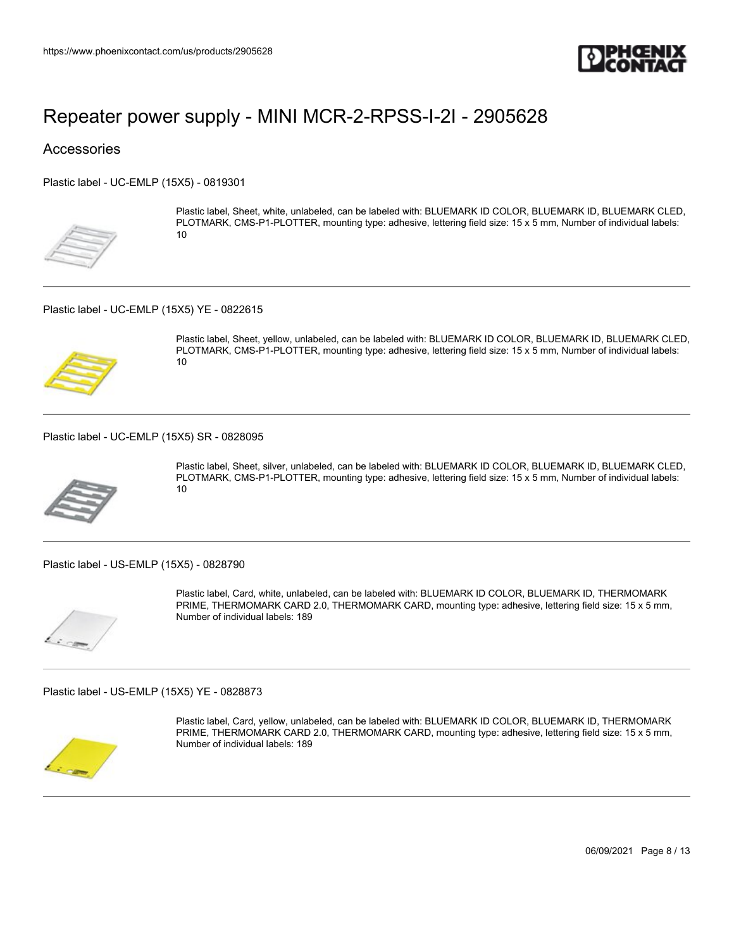

### **Accessories**

Plastic label - UC-EMLP (15X5) - 0819301



Plastic label, Sheet, white, unlabeled, can be labeled with: BLUEMARK ID COLOR, BLUEMARK ID, BLUEMARK CLED, PLOTMARK, CMS-P1-PLOTTER, mounting type: adhesive, lettering field size: 15 x 5 mm, Number of individual labels: 10

Plastic label - UC-EMLP (15X5) YE - 0822615



Plastic label, Sheet, yellow, unlabeled, can be labeled with: BLUEMARK ID COLOR, BLUEMARK ID, BLUEMARK CLED, PLOTMARK, CMS-P1-PLOTTER, mounting type: adhesive, lettering field size: 15 x 5 mm, Number of individual labels: 10

Plastic label - UC-EMLP (15X5) SR - 0828095



Plastic label, Sheet, silver, unlabeled, can be labeled with: BLUEMARK ID COLOR, BLUEMARK ID, BLUEMARK CLED, PLOTMARK, CMS-P1-PLOTTER, mounting type: adhesive, lettering field size: 15 x 5 mm, Number of individual labels: 10

Plastic label - US-EMLP (15X5) - 0828790



Plastic label, Card, white, unlabeled, can be labeled with: BLUEMARK ID COLOR, BLUEMARK ID, THERMOMARK PRIME, THERMOMARK CARD 2.0, THERMOMARK CARD, mounting type: adhesive, lettering field size: 15 x 5 mm, Number of individual labels: 189

Plastic label - US-EMLP (15X5) YE - 0828873



Plastic label, Card, yellow, unlabeled, can be labeled with: BLUEMARK ID COLOR, BLUEMARK ID, THERMOMARK PRIME, THERMOMARK CARD 2.0, THERMOMARK CARD, mounting type: adhesive, lettering field size: 15 x 5 mm, Number of individual labels: 189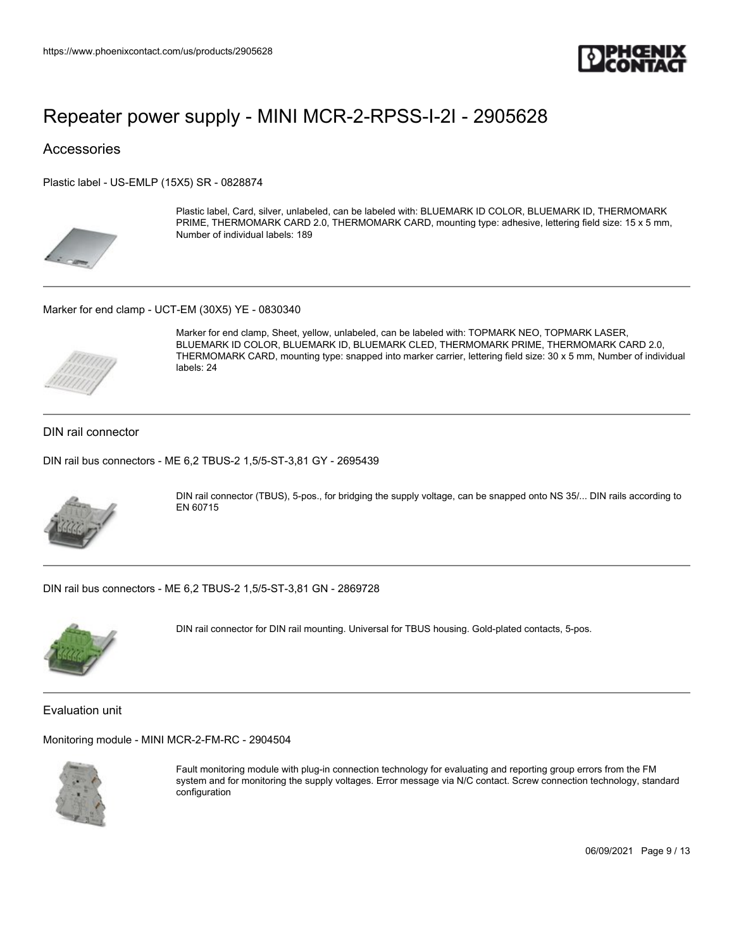

### **Accessories**

Plastic label - US-EMLP (15X5) SR - 0828874



Plastic label, Card, silver, unlabeled, can be labeled with: BLUEMARK ID COLOR, BLUEMARK ID, THERMOMARK PRIME, THERMOMARK CARD 2.0, THERMOMARK CARD, mounting type: adhesive, lettering field size: 15 x 5 mm, Number of individual labels: 189

#### Marker for end clamp - UCT-EM (30X5) YE - 0830340



Marker for end clamp, Sheet, yellow, unlabeled, can be labeled with: TOPMARK NEO, TOPMARK LASER, BLUEMARK ID COLOR, BLUEMARK ID, BLUEMARK CLED, THERMOMARK PRIME, THERMOMARK CARD 2.0, THERMOMARK CARD, mounting type: snapped into marker carrier, lettering field size: 30 x 5 mm, Number of individual labels: 24

#### DIN rail connector

DIN rail bus connectors - ME 6,2 TBUS-2 1,5/5-ST-3,81 GY - 2695439



DIN rail connector (TBUS), 5-pos., for bridging the supply voltage, can be snapped onto NS 35/... DIN rails according to EN 60715

DIN rail bus connectors - ME 6,2 TBUS-2 1,5/5-ST-3,81 GN - 2869728



DIN rail connector for DIN rail mounting. Universal for TBUS housing. Gold-plated contacts, 5-pos.

Evaluation unit

Monitoring module - MINI MCR-2-FM-RC - 2904504



Fault monitoring module with plug-in connection technology for evaluating and reporting group errors from the FM system and for monitoring the supply voltages. Error message via N/C contact. Screw connection technology, standard configuration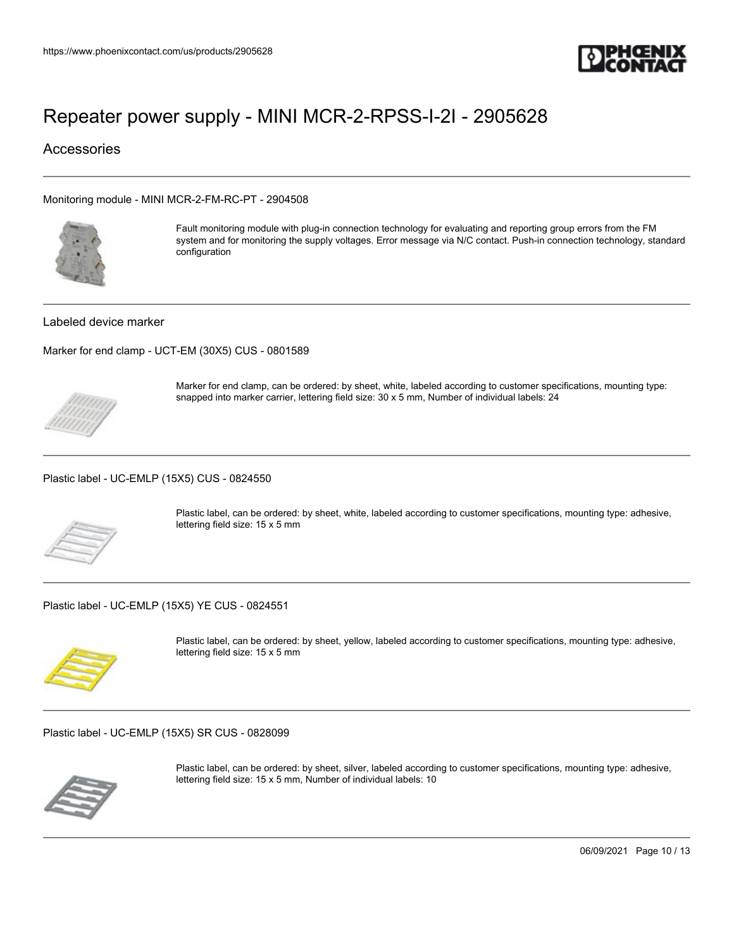

### **Accessories**

Monitoring module - MINI MCR-2-FM-RC-PT - 2904508



Fault monitoring module with plug-in connection technology for evaluating and reporting group errors from the FM system and for monitoring the supply voltages. Error message via N/C contact. Push-in connection technology, standard configuration

#### Labeled device marker

Marker for end clamp - UCT-EM (30X5) CUS - 0801589

Marker for end clamp, can be ordered: by sheet, white, labeled according to customer specifications, mounting type: snapped into marker carrier, lettering field size: 30 x 5 mm, Number of individual labels: 24

Plastic label - UC-EMLP (15X5) CUS - 0824550



Plastic label, can be ordered: by sheet, white, labeled according to customer specifications, mounting type: adhesive, lettering field size: 15 x 5 mm

Plastic label - UC-EMLP (15X5) YE CUS - 0824551



Plastic label, can be ordered: by sheet, yellow, labeled according to customer specifications, mounting type: adhesive, lettering field size: 15 x 5 mm

Plastic label - UC-EMLP (15X5) SR CUS - 0828099



Plastic label, can be ordered: by sheet, silver, labeled according to customer specifications, mounting type: adhesive, lettering field size: 15 x 5 mm, Number of individual labels: 10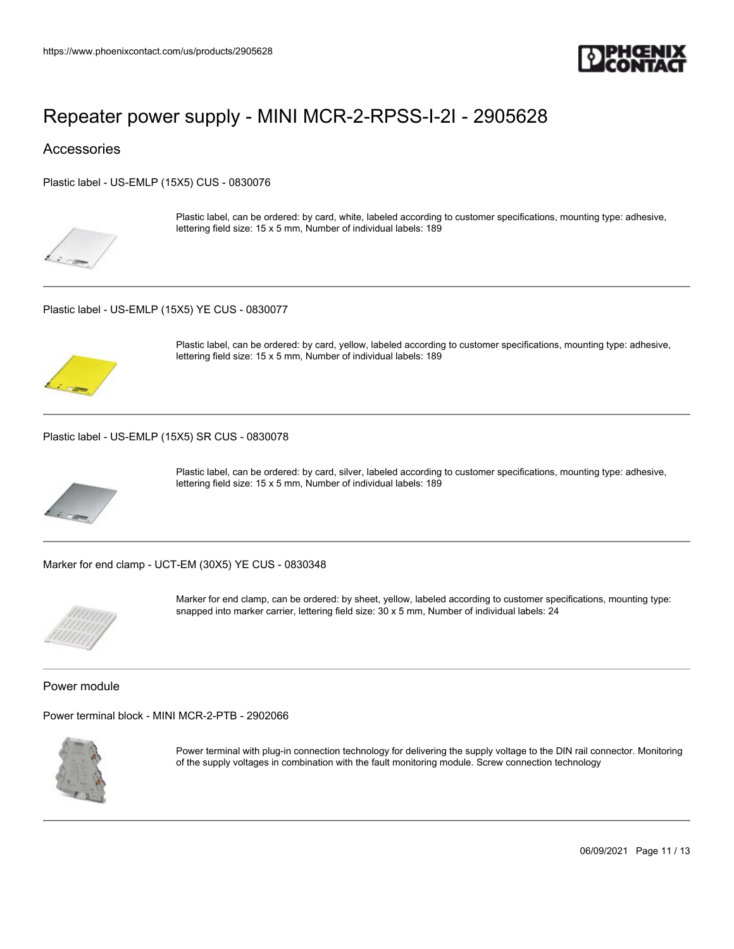

### **Accessories**

Plastic label - US-EMLP (15X5) CUS - 0830076



Plastic label, can be ordered: by card, white, labeled according to customer specifications, mounting type: adhesive, lettering field size: 15 x 5 mm, Number of individual labels: 189

Plastic label - US-EMLP (15X5) YE CUS - 0830077



Plastic label, can be ordered: by card, yellow, labeled according to customer specifications, mounting type: adhesive, lettering field size: 15 x 5 mm, Number of individual labels: 189

Plastic label - US-EMLP (15X5) SR CUS - 0830078



Plastic label, can be ordered: by card, silver, labeled according to customer specifications, mounting type: adhesive, lettering field size: 15 x 5 mm, Number of individual labels: 189

Marker for end clamp - UCT-EM (30X5) YE CUS - 0830348



Marker for end clamp, can be ordered: by sheet, yellow, labeled according to customer specifications, mounting type: snapped into marker carrier, lettering field size: 30 x 5 mm, Number of individual labels: 24

Power module

Power terminal block - MINI MCR-2-PTB - 2902066



Power terminal with plug-in connection technology for delivering the supply voltage to the DIN rail connector. Monitoring of the supply voltages in combination with the fault monitoring module. Screw connection technology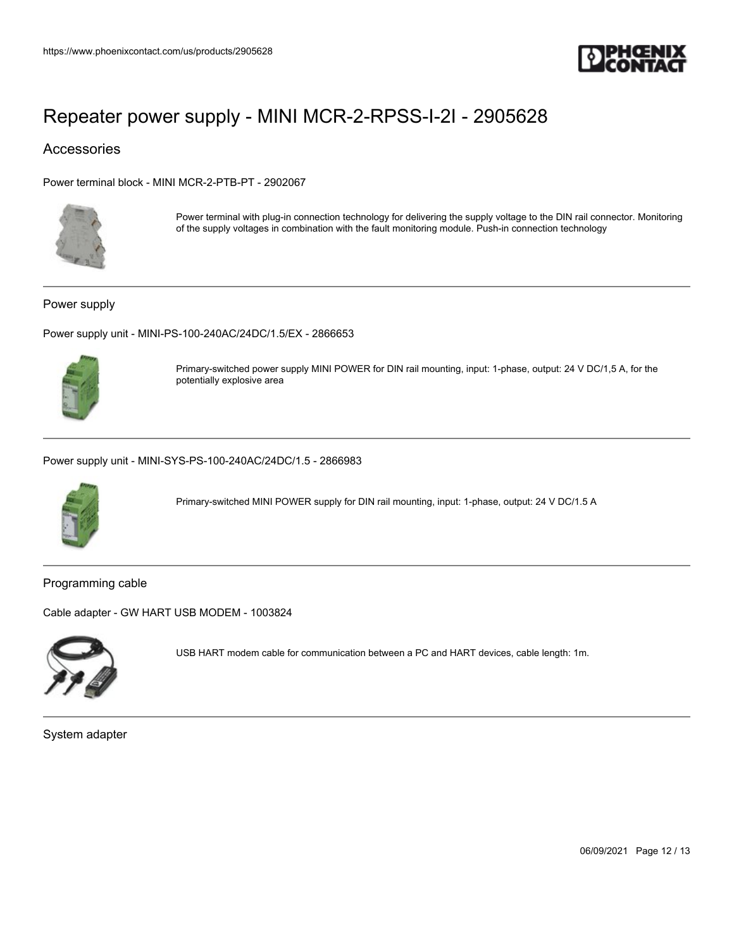

### Accessories

Power terminal block - MINI MCR-2-PTB-PT - 2902067



Power terminal with plug-in connection technology for delivering the supply voltage to the DIN rail connector. Monitoring of the supply voltages in combination with the fault monitoring module. Push-in connection technology

Power supply

Power supply unit - MINI-PS-100-240AC/24DC/1.5/EX - 2866653



Primary-switched power supply MINI POWER for DIN rail mounting, input: 1-phase, output: 24 V DC/1,5 A, for the potentially explosive area

Power supply unit - MINI-SYS-PS-100-240AC/24DC/1.5 - 2866983



Primary-switched MINI POWER supply for DIN rail mounting, input: 1-phase, output: 24 V DC/1.5 A

Programming cable

Cable adapter - GW HART USB MODEM - 1003824



USB HART modem cable for communication between a PC and HART devices, cable length: 1m.

System adapter